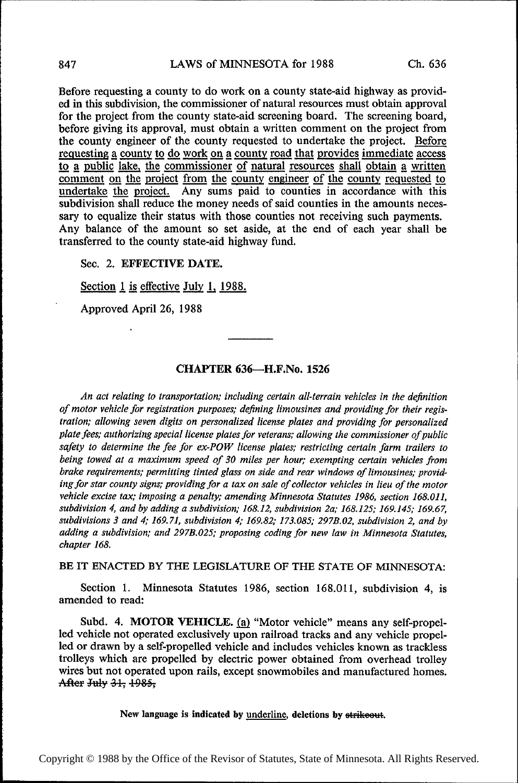Before requesting a county to do work on a county state-aid highway as provided in this subdivision, the commissioner of natural resources must obtain approval for the project from the county state-aid screening board. The screening board, before giving its approval, must obtain a written comment on the project from the county engineer of the county requested to undertake the project. Before requesting a county to do work on a county road that provides immediate access to a public lake, the commissioner of natural resources shall obtain a written comment on the project from the county engineer of the county requested to comment on the project from the county engineer of the county requested to undertake the project. Any sums paid to counties in accordance with this subdivision shall reduce the money needs of said counties in the amounts necessary to equalize their status with those counties not receiving such payments. Any balance of the amount so set aside, at the end of each year shall be transferred to the county state-aid highway fund.

#### Sec. 2. EFFECTIVE DATE.

Section  $1$  is effective July 1, 1988.

Approved April 26, 1988

## CHAPTER 636—H.F.No. 1526

An act relating to transportation; including certain all-terrain vehicles in the definition of motor vehicle for registration purposes; defining limousines and providing for their registration; allowing seven digits on personalized license plates and providing for personalized plate fees; authorizing special license plates for veterans; allowing the commissioner of public safety to determine the fee for ex-POW license plates; restricting certain farm trailers to being towed at a maximum speed of 30 miles per hour; exempting certain vehicles from brake requirements; permitting tinted glass on side and rear windows of limousines; providing for star county signs; providing for a tax on sale of collector vehicles in lieu of the motor vehicle excise tax; imposing a penalty: amending Minnesota Statutes 1986, section 168.011, subdivision 4, and by adding a subdivision; 168.12, subdivision 2a; 168.125; 169.145; 169.67, subdivisions 3 and 4; 169.71, subdivision 4; 169.82; 173.085; 297B.02, subdivision 2, and by adding a subdivision; and 297B.025; proposing coding for new law in Minnesota Statutes, chapter 168.

#### BE IT ENACTED BY THE LEGISLATURE OF THE STATE OF MINNESOTA:

Section 1. Minnesota Statutes 1986, section 168.011, subdivision 4, is amended to read:

Subd. 4. MOTOR VEHICLE. (a) "Motor vehicle" means any self-propelled vehicle not operated exclusively upon railroad tracks and any vehicle propelled or drawn by a self-propelled vehicle and includes vehicles known as trackless trolleys which are propelled by electric power obtained from overhead trolley wires but not operated upon rails, except snowmobiles and manufactured homes. After July 31, 1985,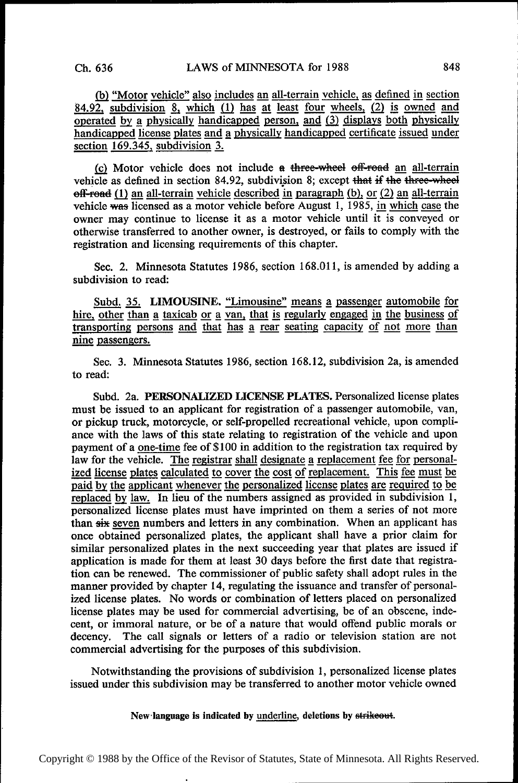(b) "Motor vehicle" also includes an all-terrain vehicle, as defined in section 84.92, subdivision 8, which  $(1)$  has at least four wheels,  $(2)$  is owned and operated by a physically handicapped person, and  $(3)$  displays both physically handicapped license plates and a physically handicapped certificate issued under section 169.345, subdivision  $3$ .

(c) Motor vehicle does not include  $a$  three-wheel off-road an all-terrain vehicle as defined in section 84.92, subdivision 8; except that if the three-wheel  $eff$ -read (1) an all-terrain vehicle described in paragraph (b), or (2) an all-terrain vehicle was licensed as a motor vehicle before August 1, 1985, in which case the owner may continue to license it as a motor vehicle until it is conveyed or otherwise transferred to another owner, is destroyed, or fails to comply with the registration and licensing requirements of this chapter.

Sec. 2. Minnesota Statutes 1986, section 168.011, is amended by adding a subdivision to read:

Subd. 35. LIMOUSINE. "Limousine" means a passenger automobile for hire, other than a taxicab or a van, that is regularly engaged in the business of transporting persons and that has a rear seating capacity of not more than nine passengers.

Sec. 3. Minnesota Statutes 1986, section 168.12, subdivision 2a, is amended to read:

Subd. 2a. PERSONALIZED LICENSE PLATES. Personalized license plates must be issued to an applicant for registration of a passenger automobile, van, or pickup truck, motorcycle, or self-propelled recreational vehicle, upon compliance with the laws of this state relating to registration of the vehicle and upon payment of a one-time fee of \$100 in addition to the registration tax required by law for the vehicle. The registrar shall designate a replacement fee for personalized license plates calculated to cover the cost of replacement. This fee must be paid by the applicant whenever the personalized license plates are required to be replaced by law. In lieu of the numbers assigned as provided in subdivision 1, personalized license plates must have imprinted on them a series of not more than six seven numbers and letters in any combination. When an applicant has once obtained personalized plates, the applicant shall have a prior claim for similar personalized plates in the next succeeding year that plates are issued if application is made for them at least 30 days before the first date that registration can be renewed. The commissioner of public safety shall adopt rules in the manner provided by chapter 14, regulating the issuance and transfer of personalized license plates. No words or combination of letters placed on personalized license plates may be used for commercial advertising, be of an obscene, indecent, or immoral nature, or be of a nature that would offend public morals or decency. The call signals or letters of a radio or television station are not commercial advertising for the purposes of this subdivision.

Notwithstanding the provisions of subdivision 1, personalized license plates issued under this subdivision may be transferred to another motor vehicle owned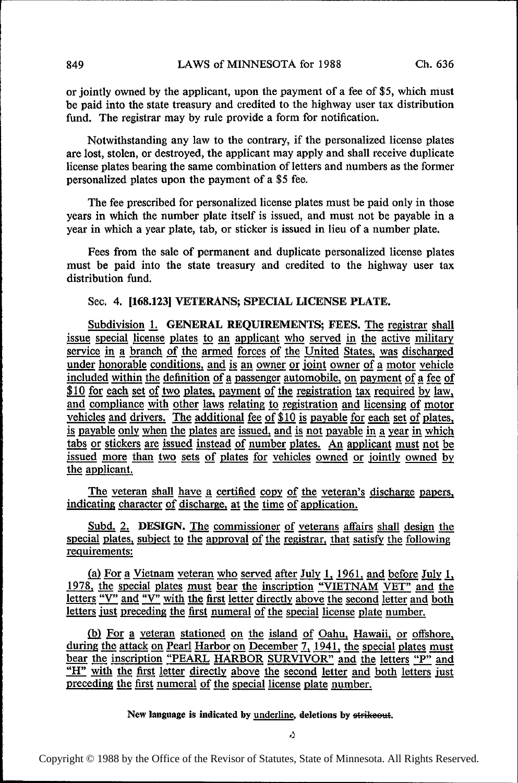or jointly owned by the applicant, upon the payment of a fee of \$5, which must be paid into the state treasury and credited to the highway user tax distribution fund. The registrar may by rule provide a form for notification.

Notwithstanding any law to the contrary, if the personalized license plates are lost, stolen, or destroyed, the applicant may apply and shall receive duplicate license plates bearing the same combination of letters and numbers as the former personalized plates upon the payment of a \$5 fee.

The fee prescribed for personalized license plates must be paid only in those years in which the number plate itself is issued, and must not be payable in a year in which a year plate, tab, or sticker is issued in lieu of a number plate.

Fees from the sale of permanent and duplicate personalized license plates must be paid into the state treasury and credited to the highway user tax distribution fund.

# Sec. 4. [168.123] VETERANS; SPECIAL LICENSE PLATE.

Subdivision 1. GENERAL REQUIREMENTS; FEES. The registrar shall issue special license plates to an applicant who served in the active military service in a branch of the armed forces of the United States, was discharged under honorable conditions, and is an owner or joint owner of a motor vehicle included within the definition of a passenger automobile, on payment of a fee of \$10 for each set of two plates, payment of the registration tax required by law, and compliance with other laws relating to registration and licensing of motor vehicles and drivers. The additional fee of  $$10$  is payable for each set of plates, is payable only when the plates are issued, and is not payable in a year in which tabs or stickers are issued instead of number plates. An applicant must not be issued more than two sets of plates for vehicles owned or jointly owned by the applicant.

The veteran shall have a certified copy of the veteran's discharge papers, indicating character of discharge, at the time of application.

special plates, subject to the approval of the registrar, that satisfy the following reguirements: Subd. 2. DESIGN. The commissioner of veterans affairs shall design the

(a) For a Vietnam veteran who served after July 1, 1961, and before July 1, 1978, the special plates must bear the inscription "VIETNAM VET" and the letters "V" and "V" with the first letter directly above the second letter and both letters just preceding the first numeral of the special license plate number.

(b) For a veteran stationed on the island of Oahu, Hawaii, or offshore, during the attack on Pearl Harbor on December 7, 1941, the special plates must bear the inscription "PEARL HARBOR SURVIVOR" and the letters "P" and "H" with the first letter directly above the second letter and both letters just preceding the first numeral of the special license plate number.

New language is indicated by underline, deletions by strikeout.

Copyright © 1988 by the Office of the Revisor of Statutes, State of Minnesota. All Rights Reserved.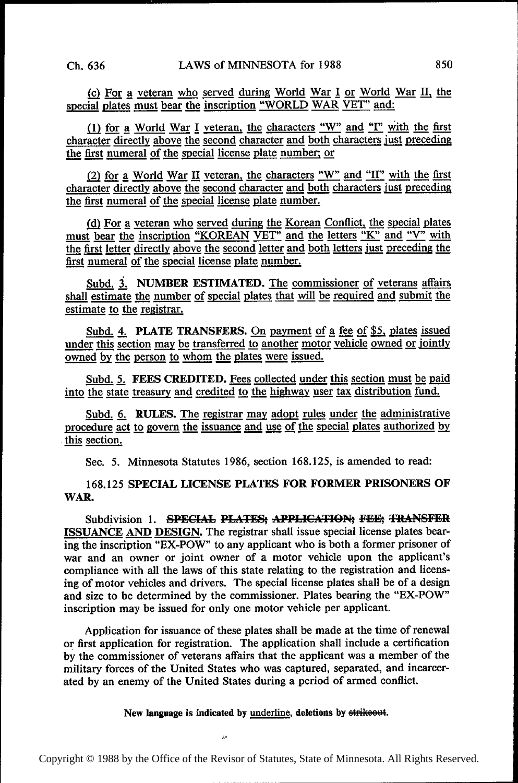(c) For a veteran who served during World War I or World War II, the special plates must bear the inscription "WORLD WAR VET" and:

(1) for a World War I veteran, the characters "W" and "I" with the first character directly above the second character and both characters just preceding the first numeral of the special license plate number; or

(2) for a World War II veteran, the characters "W" and "II" with the first character directly above the second character and both characters just preceding the first numeral of the special license plate number.

(d) For a veteran who served during the Korean Conflict, the special plates must bear the inscription "KOREAN VET" and the letters "K" and "V" with the first letter directly above the second letter and both letters just p must bear the inscription "KOREAN VET" and the letters "K" and "V" with first numeral of the special license plate number.

Subd. 3. NUMBER ESTIMATED. The commissioner of veterans affairs shall estimate the number of special plates that will be required and submit the estimate to the registrar.

Subd. 4. PLATE TRANSFERS. On payment of a fee of \$5, plates issued under this section may be transferred to another motor vehicle owned or jointly owned by the person to whom the plates were issued.

Subd. 5. FEES CREDITED. Fees collected under this section must be paid into the state treasury and credited to the highway user tax distribution fund.

Subd. 6. RULES. The registrar may adopt rules under the administrative procedure act to govern the issuance and use of the special plates authorized by this section.

Sec. 5. Minnesota Statutes 1986, section 168.125, is amended to read:

168.125 SPECIAL LICENSE PLATES FOR FORMER PRISONERS OF WAR.

Subdivision 1. SPECIAL PLATES; APPLICATION; FEE; TRANSFER ISSUANCE AND DESIGN. The registrar shall issue special license plates bearing the inscription "EX-POW" to any applicant who is both a former prisoner of war and an owner or joint owner of a motor vehicle upon the applicant's compliance with all the laws of this state relating to the registration and licensing of motor vehicles and drivers. The special license plates shall be of a design and size to be determined by the commissioner. Plates bearing the "EX-POW" inscription may be issued for only one motor vehicle per applicant.

Application for issuance of these plates shall be made at the time of renewal or first application for registration. The application shall include a certification by the commissioner of veterans affairs that the applicant was a member of the military forces of the United States who was captured, separated, and incarcerated by an enemy of the United States during a period of armed conflict.

New language is indicated by underline, deletions by strike out.

;,a

Copyright © 1988 by the Office of the Revisor of Statutes, State of Minnesota. All Rights Reserved.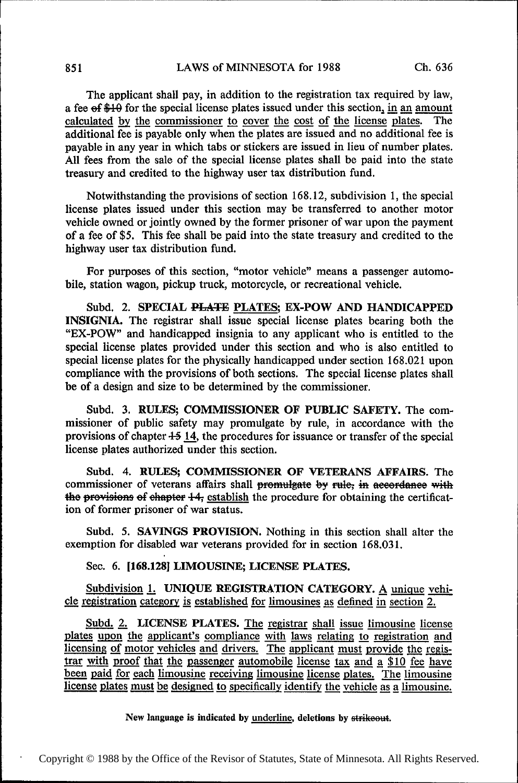The applicant shall pay, in addition to the registration tax required by law, a fee of \$10 for the special license plates issued under this section, in an amount calculated by the commissioner to cover the cost of the license plates. The additional fee is payable only when the plates are issued and no additional fee is payable in any year in which tabs or stickers are issued in lieu of number plates. All fees from the sale of the special license plates shall be paid into the state treasury and credited to the highway user tax distribution fund.

Notwithstanding the provisions of section 168.12, subdivision 1, the special license plates issued under this section may be transferred to another motor vehicle owned or jointly owned by the former prisoner of war upon the payment of a fee of \$5. This fee shall be paid into the state treasury and credited to the highway user tax distribution fund.

For purposes of this section, "motor vehicle" means a passenger automobile, station wagon, pickup truck, motorcycle, or recreational vehicle.

Subd. 2. SPECIAL PLATE PLATES; EX-POW AND HANDICAPPED INSIGNIA. The registrar shall issue special license plates bearing both the "EX-POW" and handicapped insignia to any applicant who is entitled to the special license plates provided under this section and who is also entitled to special license plates for the physically handicapped under section 168.021 upon compliance with the provisions of both sections. The special license plates shall be of a design and size to be determined by the commissioner.

Subd. 3. RULES; COMMISSIONER OF PUBLIC SAFETY. The commissioner of public safety may promulgate by rule, in accordance with the provisions of chapter  $+5$  14, the procedures for issuance or transfer of the special license plates authorized under this section.

Subd. 4. RULES; COMMISSIONER OF VETERANS AFFAIRS. The commissioner of veterans affairs shall promulgate by rule; in accordance with the provisions of ehapter +4; establish the procedure for obtaining the certification of former prisoner of war status.

Subd. 5. SAVINGS PROVISION. Nothing in this section shall alter the exemption for disabled war veterans provided for in section 168.031.

Sec. 6. [168.128] LIMOUSINE; LICENSE PLATES.

Subdivision 1. UNIQUE REGISTRATION CATEGORY. A unique vehicle registration category is established for limousines as defined in section  $2$ .

Subd. 2. LICENSE PLATES. The registrar shall issue limousine license plates upon the applicant's compliance with laws relating to registration and licensing of motor vehicles and drivers. The applicant must provide the registrar with proof that the passenger automobile license tax and a \$10 fee have been paid for each limousine receiving limousine license plates. The limousine license plates must be designed to specifically identify the vehicle as a limousine.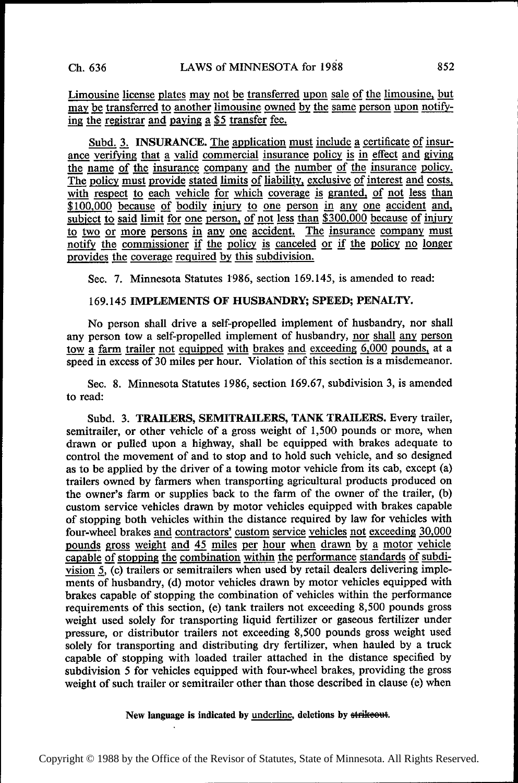Limousine license plates may not be transferred upon sale of the limousine, but may be transferred to another limousine owned by the same person upon notifying the registrar and paying a  $$5$  transfer fee.

Subd. 3. INSURANCE. The application must include a certificate of insurance verifying that a valid commercial insurance policy is in effect and giving the name of the insurance company and the number of the insurance policy. The policy must provide stated limits of liability, exclusive of interest and costs, with respect to each vehicle for which coverage is granted, of not less than \$100,000 because of bodily injury to one person in any one accident and, subject to said limit for one person, of not less than \$300,000 because of injury  $\frac{\$100,000}{\$200}$  because of bodily injury to one person in any one accident and, subject to said limit for one person, of not less than \$300,000 because of injury to two or more persons in any one accident. The insura notify the commissioner if the policy is canceled or if the policy no longer provides the coverage required by this subdivision.

Sec. 7. Minnesota Statutes 1986, section 169.145, is amended to read:

### 169.145 IMPLEMENTS OF HUSBANDRY; SPEED; PENALTY.

No person shall drive a self-propelled implement of husbandry, nor shall any person tow a self-propelled implement of husbandry, nor shall any person any person shall direct a self-propelled implement of husbandry, nor shall any person<br>tow a farm trailer not equipped with brakes and exceeding 6,000 pounds, at a<br>speed in excess of 30 miles per hour. Violation of this sec

Sec. 8. Minnesota Statutes 1986, section 169.67, subdivision 3, is amended to read:

Subd. 3. TRAILERS, SEMITRAILERS, TANK TRAILERS. Every trailer, semitrailer, or other vehicle of a gross weight of 1,500 pounds or more, when drawn or pulled upon a highway, shall be equipped with brakes adequate to control the movement of and to stop and to hold such vehicle, and so designed as to be applied by the driver of a towing motor vehicle from its cab, except (a) trailers owned by farmers when transporting agricultural products produced on the owner's farm or supplies back to the farm of the owner of the trailer, (b) custom service vehicles drawn by motor vehicles equipped with brakes capable of stopping both vehicles within the distance required by law for vehicles with four-wheel brakes and contractors' custom service vehicles not exceeding 30,000 pounds gross weight and 45 miles per hour when drawn by a motor vehicle capable of stopping the combination within the performance standards of subdivision 5, (c) trailers or semitrailers when used by retail dealers delivering implements of husbandry, (d) motor vehicles drawn by motor vehicles equipped with brakes capable of stopping the combination of vehicles within the performance requirements of this section, (e) tank trailers not exceeding 8,500 pounds gross weight used solely for transporting liquid fertilizer or gaseous fertilizer under pressure, or distributor trailers not exceeding 8,500 pounds gross weight used solely for transporting and distributing dry fertilizer, when hauled by a truck capable of stopping with loaded trailer attached in the distance specified by subdivision 5 for vehicles equipped with four-wheel brakes, providing the gross weight of such trailer or semitrailer other than those described in clause (e) when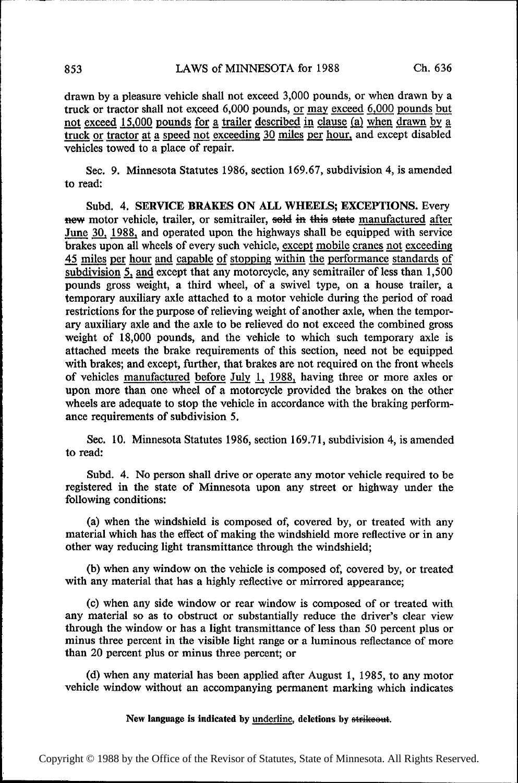drawn by a pleasure vehicle shall not exceed 3,000 pounds, or when drawn by a not exceed 15,000 pounds for a trailer described in clause (a) when drawn by a truck or tractor at a speed not exceeding 30 miles per hour, and except disabled vehicles towed to a place of repair.

Sec. 9. Minnesota Statutes 1986, section 169.67, subdivision 4, is amended to read:

Subd. 4. SERVICE BRAKES ON ALL WHEELS; EXCEPTIONS. Every new motor vehicle, trailer, or semitrailer, sold in this state manufactured after June 30, 1988, and operated upon the highways shall be equipped with service brakes upon all wheels of every such vehicle, except mobile cranes not exceeding 45 miles per hour and capable of stopping within the performance standards of subdivision 5, and except that any motorcycle, any semitrailer of less than 1,500 pounds gross weight, a third wheel, of a swivel type, on a house trailer, a temporary auxiliary axle attached to a motor vehicle during the period of road restrictions for the purpose of relieving weight of another axle, when the tempor~ ary auxiliary axle and the axle to be relieved do not exceed the combined gross weight of 18,000 pounds, and the vehicle to which such temporary axle is attached meets the brake requirements of this section, need not be equipped with brakes; and except, further, that brakes are not required on the front wheels of vehicles manufactured before July 1, 1988, having three or more axles or upon more than one wheel of a motorcycle provided the brakes on the other wheels are adequate to stop the vehicle in accordance with the braking performance requirements of subdivision 5.

Sec. 10. Minnesota Statutes 1986, section 169.71, subdivision 4, is amended to read:

Subd. 4. No person shall drive or operate any motor vehicle required to be registered in the state of Minnesota upon any street or highway under the following conditions:

(a) when the windshield is composed of, covered by, or treated with any material which has the effect of making the windshield more reflective or in any other way reducing light transmittance through the windshield;

(b) when any window on the vehicle is composed of, covered by, or treated with any material that has a highly reflective or mirrored appearance;

(c) when any side window or rear window is composed of or treated with any material so as to obstruct or substantially reduce the driver's clear view through the window or has a light transmittance of less than 50 percent plus or minus three percent in the visible light range or a luminous reflectance of more than 20 percent plus or minus three percent; or

((1) when any material has been applied after August 1, 1985, to any motor vehicle window without an accompanying permanent marking which indicates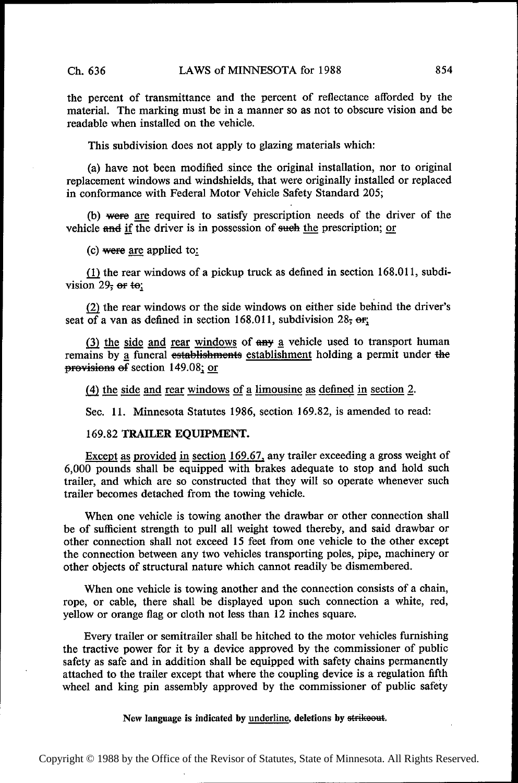the percent of transmittance and the percent of reflectance afforded by the material. The marking must be in a manner so as not to obscure vision and be readable when installed on the vehicle.

This subdivision does not apply to glazing materials which:

(a) have not been modified since the original installation, nor to original replacement windows and windshields, that were originally installed or replaced in conformance with Federal Motor Vehicle Safety Standard 205;

(b) were are required to satisfy prescription needs of the driver of the vehicle and if the driver is in possession of such the prescription; or

(c) were are applied to:

 $(1)$  the rear windows of a pickup truck as defined in section 168.011, subdivision  $29$ ; or to;

Q) the rear windows or the side windows on either side behind the driver's seat of a van as defined in section 168.011, subdivision 28,  $er$ ;

 $\frac{(3) \text{ the side and rear windows of any a vehicle used to transport human remains by a finer students.}$ provisions of section 149.08; or

(4) the side and rear windows of a limousine as defined in section 2.

Sec. 11. Minnesota Statutes 1986, section 169.82, is amended to read:

169.82 TRAILER EQUIPMENT.

Except as provided in section 169.67, any trailer exceeding a gross weight of 6,000 pounds shall be equipped with brakes adequate to stop and hold such trailer, and which are so constructed that they will so operate whenever such trailer becomes detached from the towing vehicle.

When one vehicle is towing another the drawbar or other connection shall be of suflicient strength to pull all weight towed thereby, and said drawbar or other connection shall not exceed 15 feet from one vehicle to the other except the connection between any two vehicles transporting poles, pipe, machinery or other objects of structural nature which cannot readily be dismembered.

When one vehicle is towing another and the connection consists of a chain, rope, or cable, there shall be displayed upon such connection a white, red, yellow or orange flag or cloth not less than 12 inches square.

Every trailer or semitrailer shall be hitched to the motor vehicles furnishing the tractive power for it by a device approved by the commissioner of public safety as safe and in addition shall be equipped with safety chains permanently attached to the trailer except that where the coupling device is a regulation fifth wheel and king pin assembly approved by the commissioner of public safety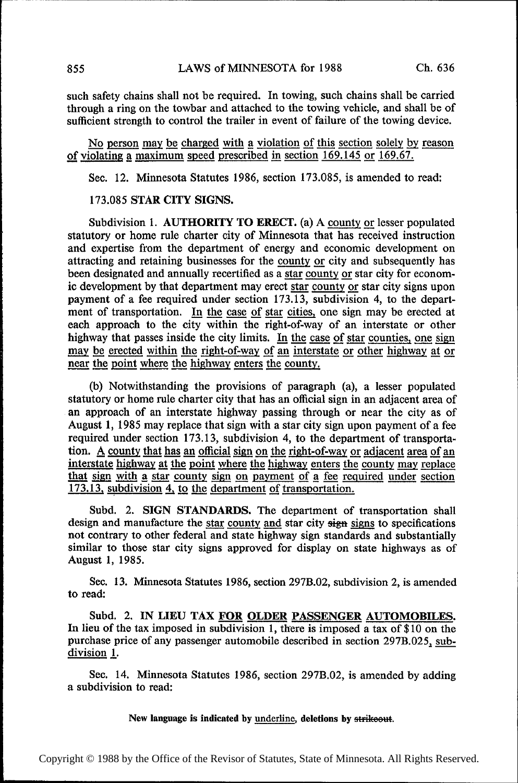such safety chains shall not be required. In towing, such chains shall be carried through a ring on the towbar and attached to the towing vehicle, and shall be of sufficient strength to control the trailer in event of failure of the towing device.

No person may be charged with a violation of this section solely by reason of violating a maximum speed prescribed in section 169.145 or 169.67.

Sec. 12. Minnesota Statutes 1986, section 173.085, is amended to read:

# 173.085 STAR CITY SIGNS.

Subdivision 1. AUTHORITY TO ERECT. (a) A county or lesser populated statutory or home rule charter city of Minnesota that has received instruction and expertise from the department of energy and economic development on attracting and retaining businesses for the county or city and subsequently has been designated and annually recertified as a star county or star city for econombeen designated and annually recertified as a <u>star county or</u> star city for econom-<br>is development by that department may erect star county or star city since upon ic development by that department may erect star county or star city signs upon<br>normant of a fee required under section  $173,13$ , subdivision 4, to the depart payment of a fee required under section 173.13, subdivision 4, to the depart-<br>ment of transportation. In the case of star cities, one sign may be erected at ment of transportation. In the case of star cities, one sign may be erected at each approach to the city within the right-of-way of an interstate or other highway that passes inside the city limits. In the case of star counties, one sign may be erected within the right-of-way of an interstate or other highway at or near the point where the highway enters the county.

(b) Notwithstanding the provisions of paragraph (a), a lesser populated statutory or home rule charter city that has an official sign in an adjacent area of an approach of an interstate highway passing through or near the city as of August 1, 1985 may replace that sign with a star city sign upon payment of a fee required under section 173.13, subdivision 4, to the department of transportation. A county that has an official sign on the right-of-way or adjacent area of an interstate highway at the point where the highway enters the county may replace that sign with a star county sign on payment of a fee required under section 173.13, subdivision 4, to the department of transportation.

Subd. 2. SIGN STANDARDS. The department of transportation shall design and manufacture the star county and star city signs is specifications not contrary to other federal and state highway sign standards and substantially similar to those star city signs approved for display on state highways as of August 1, 1985.

Sec. 13. Minnesota Statutes 1986, section 297B.02, subdivision 2, is amended to read:

Subd. 2. IN LIEU TAX FOR OLDER PASSENGER AUTOMOBILES. In lieu of the tax imposed in subdivision 1, there is imposed a tax of \$ 10 on the purchase price of any passenger automobile described in section 297B.025, subdivision 1.

Sec. 14. Minnesota Statutes 1986, section 297B.02, is amended by adding a subdivision to read: